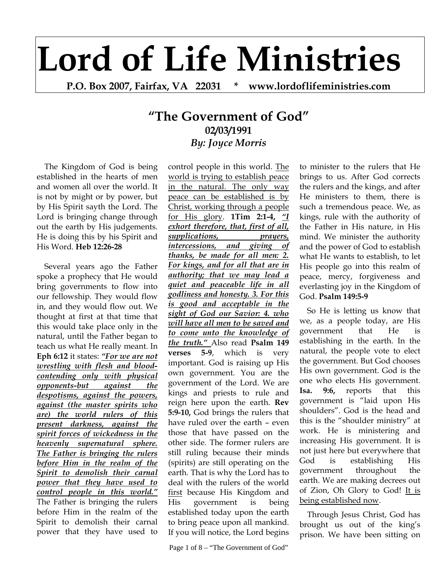## **Lord of Life Ministries**

**P.O. Box 2007, Fairfax, VA 22031 \* www.lordoflifeministries.com** 

## **"The Government of God" 02/03/1991** *By: Joyce Morris*

The Kingdom of God is being established in the hearts of men and women all over the world. It is not by might or by power, but by His Spirit sayth the Lord. The Lord is bringing change through out the earth by His judgements. He is doing this by his Spirit and His Word. **Heb 12:26-28** 

Several years ago the Father spoke a prophecy that He would bring governments to flow into our fellowship. They would flow in, and they would flow out. We thought at first at that time that this would take place only in the natural, until the Father began to teach us what He really meant. In **Eph 6:12** it states: *"For we are not wrestling with flesh and bloodcontending only with physical opponents-but against the despotisms, against the powers, against (the master spirits who are) the world rulers of this present darkness, against the spirit forces of wickedness in the heavenly supernatural sphere. The Father is bringing the rulers before Him in the realm of the Spirit to demolish their carnal power that they have used to control people in this world."*  The Father is bringing the rulers before Him in the realm of the Spirit to demolish their carnal power that they have used to

control people in this world. The world is trying to establish peace in the natural. The only way peace can be established is by Christ, working through a people for His glory. **1Tim 2:1-4,** *"I exhort therefore, that, first of all, supplications, prayers, intercessions, and giving of thanks, be made for all men: 2. For kings, and for all that are in authority; that we may lead a quiet and peaceable life in all godliness and honesty. 3. For this is good and acceptable in the sight of God our Savior: 4. who will have all men to be saved and to come unto the knowledge of the truth."* Also read **Psalm 149 verses 5-9**, which is very important. God is raising up His own government. You are the government of the Lord. We are kings and priests to rule and reign here upon the earth. **Rev 5:9-10,** God brings the rulers that have ruled over the earth – even those that have passed on the other side. The former rulers are still ruling because their minds (spirits) are still operating on the earth. That is why the Lord has to deal with the rulers of the world first because His Kingdom and His government is being established today upon the earth to bring peace upon all mankind. If you will notice, the Lord begins

Page 1 of 8 – "The Government of God"

to minister to the rulers that He brings to us. After God corrects the rulers and the kings, and after He ministers to them, there is such a tremendous peace. We, as kings, rule with the authority of the Father in His nature, in His mind. We minister the authority and the power of God to establish what He wants to establish, to let His people go into this realm of peace, mercy, forgiveness and everlasting joy in the Kingdom of God. **Psalm 149:5-9**

So He is letting us know that we, as a people today, are His government that He is establishing in the earth. In the natural, the people vote to elect the government. But God chooses His own government. God is the one who elects His government. **Isa. 9:6,** reports that this government is "laid upon His shoulders". God is the head and this is the "shoulder ministry" at work. He is ministering and increasing His government. It is not just here but everywhere that God is establishing His government throughout the earth. We are making decrees out of Zion, Oh Glory to God! It is being established now.

Through Jesus Christ, God has brought us out of the king's prison. We have been sitting on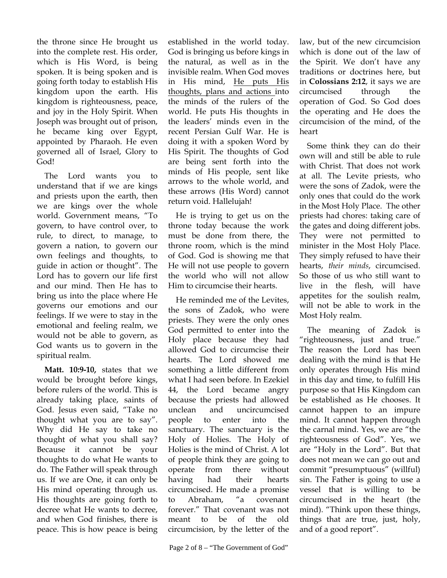the throne since He brought us into the complete rest. His order, which is His Word, is being spoken. It is being spoken and is going forth today to establish His kingdom upon the earth. His kingdom is righteousness, peace, and joy in the Holy Spirit. When Joseph was brought out of prison, he became king over Egypt, appointed by Pharaoh. He even governed all of Israel, Glory to God!

The Lord wants you to understand that if we are kings and priests upon the earth, then we are kings over the whole world. Government means, "To govern, to have control over, to rule, to direct, to manage, to govern a nation, to govern our own feelings and thoughts, to guide in action or thought". The Lord has to govern our life first and our mind. Then He has to bring us into the place where He governs our emotions and our feelings. If we were to stay in the emotional and feeling realm, we would not be able to govern, as God wants us to govern in the spiritual realm.

**Matt. 10:9-10,** states that we would be brought before kings, before rulers of the world. This is already taking place, saints of God. Jesus even said, "Take no thought what you are to say". Why did He say to take no thought of what you shall say? Because it cannot be your thoughts to do what He wants to do. The Father will speak through us. If we are One, it can only be His mind operating through us. His thoughts are going forth to decree what He wants to decree, and when God finishes, there is peace. This is how peace is being

established in the world today. God is bringing us before kings in the natural, as well as in the invisible realm. When God moves in His mind, He puts His thoughts, plans and actions into the minds of the rulers of the world. He puts His thoughts in the leaders' minds even in the recent Persian Gulf War. He is doing it with a spoken Word by His Spirit. The thoughts of God are being sent forth into the minds of His people, sent like arrows to the whole world, and these arrows (His Word) cannot return void. Hallelujah!

He is trying to get us on the throne today because the work must be done from there, the throne room, which is the mind of God. God is showing me that He will not use people to govern the world who will not allow Him to circumcise their hearts.

He reminded me of the Levites, the sons of Zadok, who were priests. They were the only ones God permitted to enter into the Holy place because they had allowed God to circumcise their hearts. The Lord showed me something a little different from what I had seen before. In Ezekiel 44, the Lord became angry because the priests had allowed unclean and uncircumcised people to enter into the sanctuary. The sanctuary is the Holy of Holies. The Holy of Holies is the mind of Christ. A lot of people think they are going to operate from there without having had their hearts circumcised. He made a promise to Abraham, "a covenant forever." That covenant was not meant to be of the old circumcision, by the letter of the

law, but of the new circumcision which is done out of the law of the Spirit. We don't have any traditions or doctrines here, but in **Colossians 2:12**, it says we are circumcised through the operation of God. So God does the operating and He does the circumcision of the mind, of the heart

Some think they can do their own will and still be able to rule with Christ. That does not work at all. The Levite priests, who were the sons of Zadok, were the only ones that could do the work in the Most Holy Place. The other priests had chores: taking care of the gates and doing different jobs. They were not permitted to minister in the Most Holy Place. They simply refused to have their hearts, *their minds*, circumcised. So those of us who still want to live in the flesh, will have appetites for the soulish realm, will not be able to work in the Most Holy realm.

The meaning of Zadok is "righteousness, just and true." The reason the Lord has been dealing with the mind is that He only operates through His mind in this day and time, to fulfill His purpose so that His Kingdom can be established as He chooses. It cannot happen to an impure mind. It cannot happen through the carnal mind. Yes, we are "the righteousness of God". Yes, we are "Holy in the Lord". But that does not mean we can go out and commit "presumptuous" (willful) sin. The Father is going to use a vessel that is willing to be circumcised in the heart (the mind). "Think upon these things, things that are true, just, holy, and of a good report".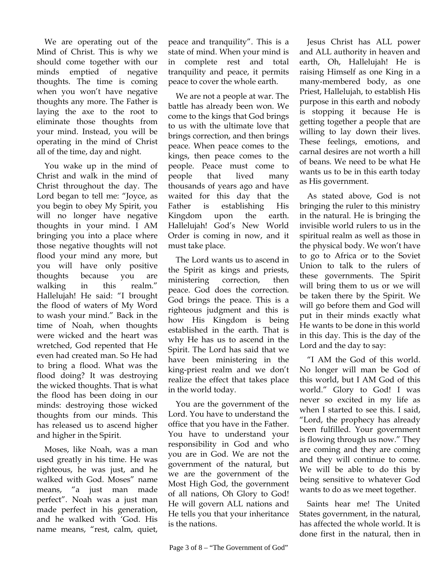We are operating out of the Mind of Christ. This is why we should come together with our minds emptied of negative thoughts. The time is coming when you won't have negative thoughts any more. The Father is laying the axe to the root to eliminate those thoughts from your mind. Instead, you will be operating in the mind of Christ all of the time, day and night.

You wake up in the mind of Christ and walk in the mind of Christ throughout the day. The Lord began to tell me: "Joyce, as you begin to obey My Spirit, you will no longer have negative thoughts in your mind. I AM bringing you into a place where those negative thoughts will not flood your mind any more, but you will have only positive thoughts because you are walking in this realm." Hallelujah! He said: "I brought the flood of waters of My Word to wash your mind." Back in the time of Noah, when thoughts were wicked and the heart was wretched, God repented that He even had created man. So He had to bring a flood. What was the flood doing? It was destroying the wicked thoughts. That is what the flood has been doing in our minds: destroying those wicked thoughts from our minds. This has released us to ascend higher and higher in the Spirit.

Moses, like Noah, was a man used greatly in his time. He was righteous, he was just, and he walked with God. Moses" name means, "a just man made perfect". Noah was a just man made perfect in his generation, and he walked with 'God. His name means, "rest, calm, quiet,

peace and tranquility". This is a state of mind. When your mind is in complete rest and total tranquility and peace, it permits peace to cover the whole earth.

We are not a people at war. The battle has already been won. We come to the kings that God brings to us with the ultimate love that brings correction, and then brings peace. When peace comes to the kings, then peace comes to the people. Peace must come to people that lived many thousands of years ago and have waited for this day that the Father is establishing His Kingdom upon the earth. Hallelujah! God's New World Order is coming in now, and it must take place.

The Lord wants us to ascend in the Spirit as kings and priests, ministering correction, then peace. God does the correction. God brings the peace. This is a righteous judgment and this is how His Kingdom is being established in the earth. That is why He has us to ascend in the Spirit. The Lord has said that we have been ministering in the king-priest realm and we don't realize the effect that takes place in the world today.

You are the government of the Lord. You have to understand the office that you have in the Father. You have to understand your responsibility in God and who you are in God. We are not the government of the natural, but we are the government of the Most High God, the government of all nations, Oh Glory to God! He will govern ALL nations and He tells you that your inheritance is the nations.

Jesus Christ has ALL power and ALL authority in heaven and earth, Oh, Hallelujah! He is raising Himself as one King in a many-membered body, as one Priest, Hallelujah, to establish His purpose in this earth and nobody is stopping it because He is getting together a people that are willing to lay down their lives. These feelings, emotions, and carnal desires are not worth a hill of beans. We need to be what He wants us to be in this earth today as His government.

As stated above, God is not bringing the ruler to this ministry in the natural. He is bringing the invisible world rulers to us in the spiritual realm as well as those in the physical body. We won't have to go to Africa or to the Soviet Union to talk to the rulers of these governments. The Spirit will bring them to us or we will be taken there by the Spirit. We will go before them and God will put in their minds exactly what He wants to be done in this world in this day. This is the day of the Lord and the day to say:

"I AM the God of this world. No longer will man be God of this world, but I AM God of this world." Glory to God! I was never so excited in my life as when I started to see this. I said, "Lord, the prophecy has already been fulfilled. Your government is flowing through us now." They are coming and they are coming and they will continue to come. We will be able to do this by being sensitive to whatever God wants to do as we meet together.

Saints hear me! The United States government, in the natural, has affected the whole world. It is done first in the natural, then in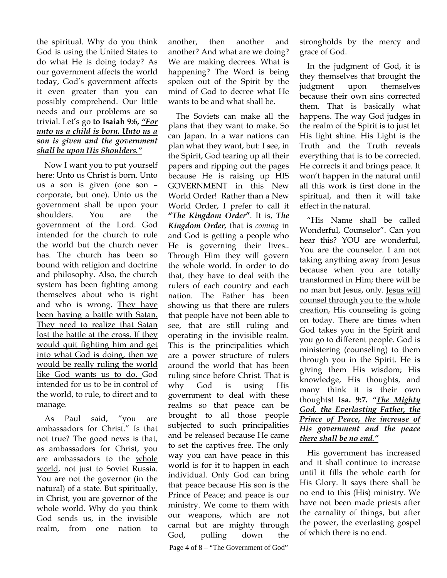the spiritual. Why do you think God is using the United States to do what He is doing today? As our government affects the world today, God's government affects it even greater than you can possibly comprehend. Our little needs and our problems are so trivial. Let's go **to Isaiah 9:6,** *"For unto us a child is born. Unto us a son is given and the government shall be upon His Shoulders."*

Now I want you to put yourself here: Unto us Christ is born. Unto us a son is given (one son – corporate, but one). Unto us the government shall be upon your shoulders. You are the government of the Lord. God intended for the church to rule the world but the church never has. The church has been so bound with religion and doctrine and philosophy. Also, the church system has been fighting among themselves about who is right and who is wrong. They have been having a battle with Satan. They need to realize that Satan lost the battle at the cross. If they would quit fighting him and get into what God is doing, then we would be really ruling the world like God wants us to do. God intended for us to be in control of the world, to rule, to direct and to manage.

As Paul said, "you are ambassadors for Christ." Is that not true? The good news is that, as ambassadors for Christ, you are ambassadors to the whole world, not just to Soviet Russia. You are not the governor (in the natural) of a state. But spiritually, in Christ, you are governor of the whole world. Why do you think God sends us, in the invisible realm, from one nation to another, then another and another? And what are we doing? We are making decrees. What is happening? The Word is being spoken out of the Spirit by the mind of God to decree what He wants to be and what shall be.

Page 4 of 8 – "The Government of God" The Soviets can make all the plans that they want to make. So can Japan. In a war nations can plan what they want, but: I see, in the Spirit, God tearing up all their papers and ripping out the pages because He is raising up HIS GOVERNMENT in this New World Order! Rather than a New World Order, I prefer to call it **"***The Kingdom Order***"**. It is, *The Kingdom Order,* that is *coming* in and God is getting a people who He is governing their lives.. Through Him they will govern the whole world. In order to do that, they have to deal with the rulers of each country and each nation. The Father has been showing us that there are rulers that people have not been able to see, that are still ruling and operating in the invisible realm. This is the principalities which are a power structure of rulers around the world that has been ruling since before Christ. That is why God is using His government to deal with these realms so that peace can be brought to all those people subjected to such principalities and be released because He came to set the captives free. The only way you can have peace in this world is for it to happen in each individual. Only God can bring that peace because His son is the Prince of Peace; and peace is our ministry. We come to them with our weapons, which are not carnal but are mighty through God, pulling down the

strongholds by the mercy and grace of God.

In the judgment of God, it is they themselves that brought the judgment upon themselves because their own sins corrected them. That is basically what happens. The way God judges in the realm of the Spirit is to just let His light shine. His Light is the Truth and the Truth reveals everything that is to be corrected. He corrects it and brings peace. It won't happen in the natural until all this work is first done in the spiritual, and then it will take effect in the natural.

"His Name shall be called Wonderful, Counselor". Can you hear this? YOU are wonderful, You are the counselor. I am not taking anything away from Jesus because when you are totally transformed in Him; there will be no man but Jesus, only. Jesus will counsel through you to the whole creation, His counseling is going on today. There are times when God takes you in the Spirit and you go to different people. God is ministering (counseling) to them through you in the Spirit. He is giving them His wisdom; His knowledge, His thoughts, and many think it is their own thoughts! **Isa. 9:7.** *"The Mighty God, the Everlasting Father, the Prince of Peace, the increase of His government and the peace there shall be no end."*

His government has increased and it shall continue to increase until it fills the whole earth for His Glory. It says there shall be no end to this (His) ministry. We have not been made priests after the carnality of things, but after the power, the everlasting gospel of which there is no end.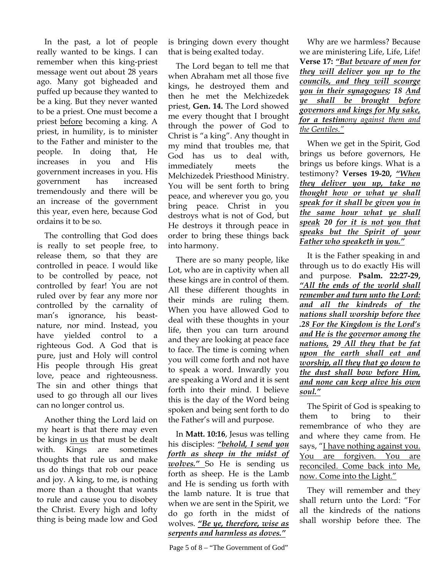In the past, a lot of people really wanted to be kings. I can remember when this king-priest message went out about 28 years ago. Many got bigheaded and puffed up because they wanted to be a king. But they never wanted to be a priest. One must become a priest before becoming a king. A priest, in humility, is to minister to the Father and minister to the people. In doing that, He increases in you and His government increases in you. His government has increased tremendously and there will be an increase of the government this year, even here, because God ordains it to be so.

The controlling that God does is really to set people free, to release them, so that they are controlled in peace. I would like to be controlled by peace, not controlled by fear! You are not ruled over by fear any more nor controlled by the carnality of man's ignorance, his beastnature, nor mind. Instead, you have yielded control to a righteous God. A God that is pure, just and Holy will control His people through His great love, peace and righteousness. The sin and other things that used to go through all our lives can no longer control us.

Another thing the Lord laid on my heart is that there may even be kings in us that must be dealt with. Kings are sometimes thoughts that rule us and make us do things that rob our peace and joy. A king, to me, is nothing more than a thought that wants to rule and cause you to disobey the Christ. Every high and lofty thing is being made low and God

is bringing down every thought that is being exalted today.

The Lord began to tell me that when Abraham met all those five kings, he destroyed them and then he met the Melchizedek priest, **Gen. 14.** The Lord showed me every thought that I brought through the power of God to Christ is "a king". Any thought in my mind that troubles me, that God has us to deal with, immediately meets the Melchizedek Priesthood Ministry. You will be sent forth to bring peace, and wherever you go, you bring peace. Christ in you destroys what is not of God, but He destroys it through peace in order to bring these things back into harmony.

There are so many people, like Lot, who are in captivity when all these kings are in control of them. All these different thoughts in their minds are ruling them. When you have allowed God to deal with these thoughts in your life, then you can turn around and they are looking at peace face to face. The time is coming when you will come forth and not have to speak a word. Inwardly you are speaking a Word and it is sent forth into their mind. I believe this is the day of the Word being spoken and being sent forth to do the Father's will and purpose.

In **Matt. 10:16**, Jesus was telling his disciples: *"behold, I send you forth as sheep in the midst of wolves."* So He is sending us forth as sheep. He is the Lamb and He is sending us forth with the lamb nature. It is true that when we are sent in the Spirit, we do go forth in the midst of wolves. *"Be ye, therefore, wise as serpents and harmless as doves."*

Why are we harmless? Because we are ministering Life, Life, Life! **Verse 17:** *"But beware of men for they will deliver you up to the councils, and they will scourge you in their synagogues; 18 And ye shall be brought before governors and kings for My sake, for a testimony against them and the Gentiles."*

When we get in the Spirit, God brings us before governors, He brings us before kings. What is a testimony? **Verses 19-20,** *"When they deliver you up, take no thought how or what ye shall speak for it shall be given you in the same hour what ye shall speak 20 for it is not you that speaks but the Spirit of your Father who speaketh in you."*

It is the Father speaking in and through us to do exactly His will and purpose. **Psalm. 22:27-29,**  *"All the ends of the world shall remember and turn unto the Lord: and all the kindreds of the nations shall worship before thee .28 For the Kingdom is the Lord's and He is the governor among the nations, 29 All they that be fat upon the earth shall eat and worship, all they that go down to the dust shall bow before Him, and none can keep alive his own soul."*

The Spirit of God is speaking to them to bring to their remembrance of who they are and where they came from. He says, "I have nothing against you. You are forgiven. You are reconciled. Come back into Me, now. Come into the Light."

They will remember and they shall return unto the Lord: "For all the kindreds of the nations shall worship before thee. The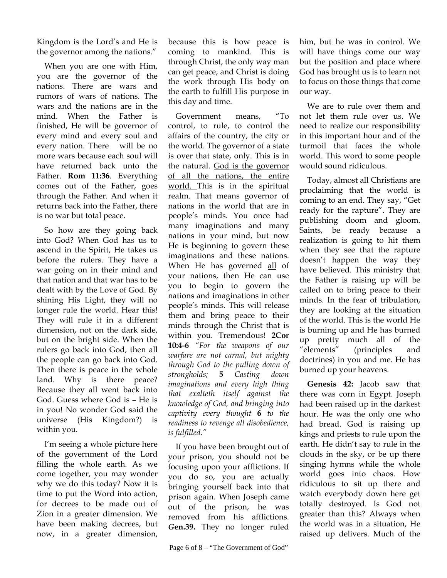Kingdom is the Lord's and He is the governor among the nations."

When you are one with Him, you are the governor of the nations. There are wars and rumors of wars of nations. The wars and the nations are in the mind. When the Father is finished, He will be governor of every mind and every soul and every nation. There will be no more wars because each soul will have returned back unto the Father. **Rom 11:36***.* Everything comes out of the Father, goes through the Father. And when it returns back into the Father, there is no war but total peace.

So how are they going back into God? When God has us to ascend in the Spirit, He takes us before the rulers. They have a war going on in their mind and that nation and that war has to be dealt with by the Love of God. By shining His Light, they will no longer rule the world. Hear this! They will rule it in a different dimension, not on the dark side, but on the bright side. When the rulers go back into God, then all the people can go back into God. Then there is peace in the whole land. Why is there peace? Because they all went back into God. Guess where God is – He is in you! No wonder God said the universe (His Kingdom?) is within you.

I'm seeing a whole picture here of the government of the Lord filling the whole earth. As we come together, you may wonder why we do this today? Now it is time to put the Word into action, for decrees to be made out of Zion in a greater dimension. We have been making decrees, but now, in a greater dimension, because this is how peace is coming to mankind. This is through Christ, the only way man can get peace, and Christ is doing the work through His body on the earth to fulfill His purpose in this day and time.

Government means, "To control, to rule, to control the affairs of the country, the city or the world. The governor of a state is over that state, only. This is in the natural. God is the governor of all the nations, the entire world. This is in the spiritual realm. That means governor of nations in the world that are in people's minds. You once had many imaginations and many nations in your mind, but now He is beginning to govern these imaginations and these nations. When He has governed all of your nations, then He can use you to begin to govern the nations and imaginations in other people's minds. This will release them and bring peace to their minds through the Christ that is within you. Tremendous! **2Cor 10:4-6** *"For the weapons of our warfare are not carnal, but mighty through God to the pulling down of strongholds;* **5** *Casting down imaginations and every high thing that exalteth itself against the knowledge of God, and bringing into captivity every thought* **6** *to the readiness to revenge all disobedience, is fulfilled."* 

If you have been brought out of your prison, you should not be focusing upon your afflictions. If you do so, you are actually bringing yourself back into that prison again. When Joseph came out of the prison, he was removed from his afflictions. *G***en.39.** They no longer ruled

him, but he was in control. We will have things come our way but the position and place where God has brought us is to learn not to focus on those things that come our way.

We are to rule over them and not let them rule over us. We need to realize our responsibility in this important hour and of the turmoil that faces the whole world. This word to some people would sound ridiculous.

Today, almost all Christians are proclaiming that the world is coming to an end. They say, "Get ready for the rapture". They are publishing doom and gloom. Saints, be ready because a realization is going to hit them when they see that the rapture doesn't happen the way they have believed. This ministry that the Father is raising up will be called on to bring peace to their minds. In the fear of tribulation, they are looking at the situation of the world. This is the world He is burning up and He has burned up pretty much all of the "elements" (principles and doctrines) in you and me. He has burned up your heavens.

**Genesis 42:** Jacob saw that there was corn in Egypt. Joseph had been raised up in the darkest hour. He was the only one who had bread. God is raising up kings and priests to rule upon the earth. He didn't say to rule in the clouds in the sky, or be up there singing hymns while the whole world goes into chaos. How ridiculous to sit up there and watch everybody down here get totally destroyed. Is God not greater than this? Always when the world was in a situation, He raised up delivers. Much of the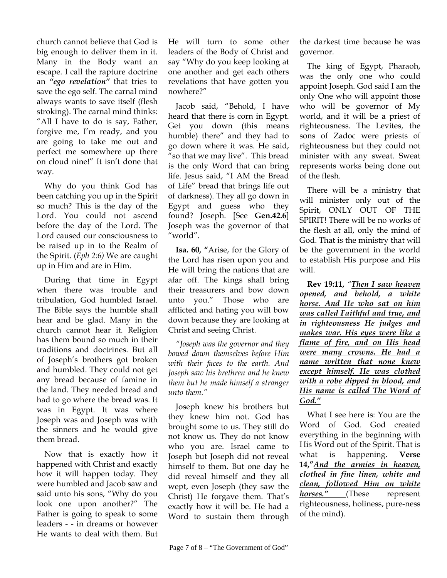church cannot believe that God is big enough to deliver them in it. Many in the Body want an escape. I call the rapture doctrine an *"ego revelation"* that tries to save the ego self. The carnal mind always wants to save itself (flesh stroking). The carnal mind thinks: "All I have to do is say, Father, forgive me, I'm ready, and you are going to take me out and perfect me somewhere up there on cloud nine!" It isn't done that way.

Why do you think God has been catching you up in the Spirit so much? This is the day of the Lord. You could not ascend before the day of the Lord. The Lord caused our consciousness to be raised up in to the Realm of the Spirit. (*Eph 2:6)* We are caught up in Him and are in Him.

During that time in Egypt when there was trouble and tribulation, God humbled Israel. The Bible says the humble shall hear and be glad. Many in the church cannot hear it. Religion has them bound so much in their traditions and doctrines. But all of Joseph's brothers got broken and humbled. They could not get any bread because of famine in the land. They needed bread and had to go where the bread was. It was in Egypt. It was where Joseph was and Joseph was with the sinners and he would give them bread.

Now that is exactly how it happened with Christ and exactly how it will happen today. They were humbled and Jacob saw and said unto his sons, "Why do you look one upon another?" The Father is going to speak to some leaders - - in dreams or however He wants to deal with them. But He will turn to some other leaders of the Body of Christ and say "Why do you keep looking at one another and get each others revelations that have gotten you nowhere?"

Jacob said, "Behold, I have heard that there is corn in Egypt. Get you down (this means humble) there" and they had to go down where it was. He said, "so that we may live". This bread is the only Word that can bring life. Jesus said, "I AM the Bread of Life" bread that brings life out of darkness). They all go down in Egypt and guess who they found? Joseph. [See **Gen.42.6**] Joseph was the governor of that "world".

**Isa. 60, "**Arise, for the Glory of the Lord has risen upon you and He will bring the nations that are afar off. The kings shall bring their treasurers and bow down unto you." Those who are afflicted and hating you will bow down because they are looking at Christ and seeing Christ.

*"Joseph was the governor and they bowed down themselves before Him with their faces to the earth. And Joseph saw his brethren and he knew them but he made himself a stranger unto them."* 

Joseph knew his brothers but they knew him not. God has brought some to us. They still do not know us. They do not know who you are. Israel came to Joseph but Joseph did not reveal himself to them. But one day he did reveal himself and they all wept, even Joseph (they saw the Christ) He forgave them. That's exactly how it will be. He had a Word to sustain them through the darkest time because he was governor.

The king of Egypt, Pharaoh, was the only one who could appoint Joseph. God said I am the only One who will appoint those who will be governor of My world, and it will be a priest of righteousness. The Levites, the sons of Zadoc were priests of righteousness but they could not minister with any sweat. Sweat represents works being done out of the flesh.

There will be a ministry that will minister only out of the Spirit, ONLY OUT OF THE SPIRIT! There will be no works of the flesh at all, only the mind of God. That is the ministry that will be the government in the world to establish His purpose and His will.

**Rev 19:11,** *"Then I saw heaven opened, and behold, a white horse. And He who sat on him was called Faithful and true, and in righteousness He judges and makes war. His eyes were like a flame of fire, and on His head were many crowns. He had a name written that none knew except himself. He was clothed with a robe dipped in blood, and His name is called The Word of God."*

What I see here is: You are the Word of God. God created everything in the beginning with His Word out of the Spirit. That is what is happening. **Verse 14,"***And the armies in heaven, clothed in fine linen, white and clean, followed Him on white horses."* (These represent righteousness, holiness, pure-ness of the mind).